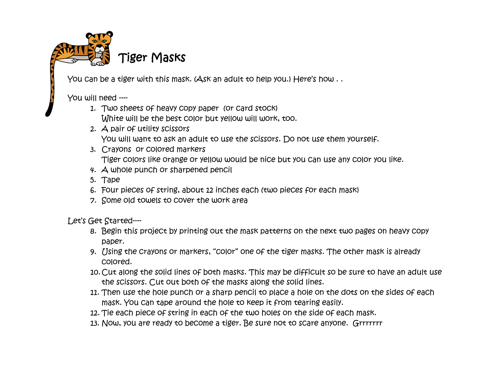

You can be a tiger with this mask. (Ask an adult to help you.) Here's how . .

You will need ----

- 1. Two sheets of heavy copy paper (or card stock) White will be the best color but yellow will work, too.
- 2. A pair of utility scissors You will want to ask an adult to use the scissors. Do not use them yourself.
- 3. Crayons or colored markers Tiger colors like orange or yellow would be nice but you can use any color you like.
- 4. A whole punch or sharpened pencil
- 5. Tape
- 6. Four pieces of string, about 12 inches each (two pieces for each mask)
- 7. Some old towels to cover the work area

Let's Get Started----

- 8. Begin this project by printing out the mask patterns on the next two pages on heavy copy paper.
- 9. Using the crayons or markers, "color" one of the tiger masks. The other mask is already colored.
- 10.Cut along the solid lines of both masks. This may be difficult so be sure to have an adult use the scissors. Cut out both of the masks along the solid lines.
- 11. Then use the hole punch or a sharp pencil to place a hole on the dots on the sides of each mask. You can tape around the hole to keep it from tearing easily.
- 12. Tie each piece of string in each of the two holes on the side of each mask.
- 13. Now, you are ready to become a tiger. Be sure not to scare anyone. Grrrrrrr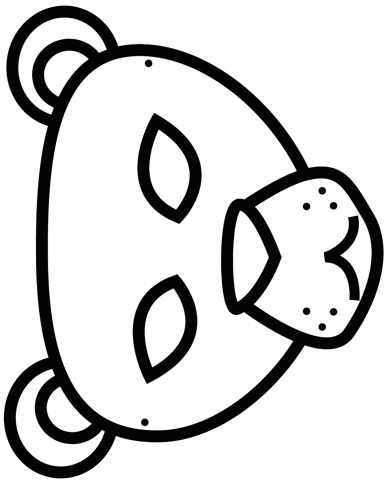